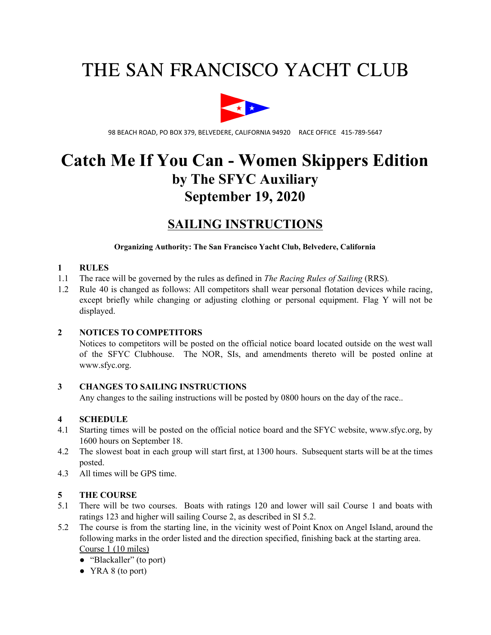# THE SAN FRANCISCO YACHT CLUB



98 BEACH ROAD, PO BOX 379, BELVEDERE, CALIFORNIA 94920 RACE OFFICE 415-789-5647

## **Catch Me If You Can - Women Skippers Edition by The SFYC Auxiliary September 19, 2020**

## **SAILING INSTRUCTIONS**

#### **Organizing Authority: The San Francisco Yacht Club, Belvedere, California**

#### **1 RULES**

- 1.1 The race will be governed by the rules as defined in *The Racing Rules of Sailing* (RRS)*.*
- 1.2 Rule 40 is changed as follows: All competitors shall wear personal flotation devices while racing, except briefly while changing or adjusting clothing or personal equipment. Flag Y will not be displayed.

### **2 NOTICES TO COMPETITORS**

Notices to competitors will be posted on the official notice board located outside on the west wall of the SFYC Clubhouse. The NOR, SIs, and amendments thereto will be posted online at www.sfyc.org.

#### **3 CHANGES TO SAILING INSTRUCTIONS**

Any changes to the sailing instructions will be posted by 0800 hours on the day of the race..

### **4 SCHEDULE**

- 4.1 Starting times will be posted on the official notice board and the SFYC website, www.sfyc.org, by 1600 hours on September 18.
- 4.2 The slowest boat in each group will start first, at 1300 hours. Subsequent starts will be at the times posted.
- 4.3 All times will be GPS time.

### **5 THE COURSE**

- 5.1 There will be two courses. Boats with ratings 120 and lower will sail Course 1 and boats with ratings 123 and higher will sailing Course 2, as described in SI 5.2.
- 5.2 The course is from the starting line, in the vicinity west of Point Knox on Angel Island, around the following marks in the order listed and the direction specified, finishing back at the starting area. Course 1 (10 miles)
	- "Blackaller" (to port)
	- YRA 8 (to port)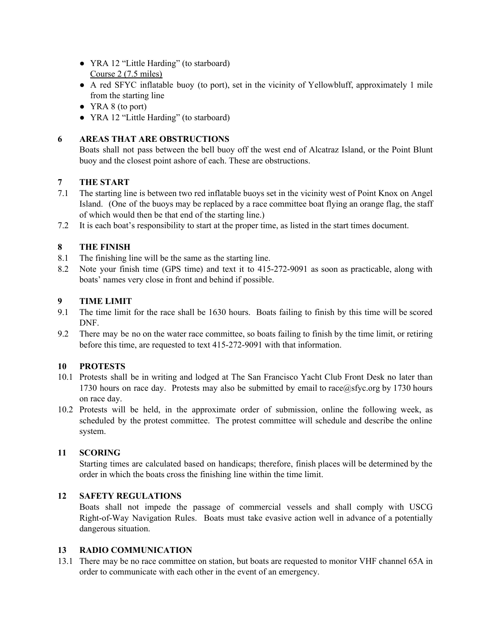- YRA 12 "Little Harding" (to starboard) Course 2 (7.5 miles)
- A red SFYC inflatable buoy (to port), set in the vicinity of Yellowbluff, approximately 1 mile from the starting line
- YRA 8 (to port)
- YRA 12 "Little Harding" (to starboard)

## **6 AREAS THAT ARE OBSTRUCTIONS**

Boats shall not pass between the bell buoy off the west end of Alcatraz Island, or the Point Blunt buoy and the closest point ashore of each. These are obstructions.

## **7 THE START**

- 7.1 The starting line is between two red inflatable buoys set in the vicinity west of Point Knox on Angel Island. (One of the buoys may be replaced by a race committee boat flying an orange flag, the staff of which would then be that end of the starting line.)
- 7.2 It is each boat's responsibility to start at the proper time, as listed in the start times document.

## **8 THE FINISH**

- 8.1 The finishing line will be the same as the starting line.
- 8.2 Note your finish time (GPS time) and text it to 415-272-9091 as soon as practicable, along with boats' names very close in front and behind if possible.

## **9 TIME LIMIT**

- 9.1 The time limit for the race shall be 1630 hours. Boats failing to finish by this time will be scored DNF.
- 9.2 There may be no on the water race committee, so boats failing to finish by the time limit, or retiring before this time, are requested to text 415-272-9091 with that information.

## **10 PROTESTS**

- 10.1 Protests shall be in writing and lodged at The San Francisco Yacht Club Front Desk no later than 1730 hours on race day. Protests may also be submitted by email to race@sfyc.org by 1730 hours on race day.
- 10.2 Protests will be held, in the approximate order of submission, online the following week, as scheduled by the protest committee. The protest committee will schedule and describe the online system.

## **11 SCORING**

Starting times are calculated based on handicaps; therefore, finish places will be determined by the order in which the boats cross the finishing line within the time limit.

## **12 SAFETY REGULATIONS**

Boats shall not impede the passage of commercial vessels and shall comply with USCG Right-of-Way Navigation Rules. Boats must take evasive action well in advance of a potentially dangerous situation.

## **13 RADIO COMMUNICATION**

13.1 There may be no race committee on station, but boats are requested to monitor VHF channel 65A in order to communicate with each other in the event of an emergency.